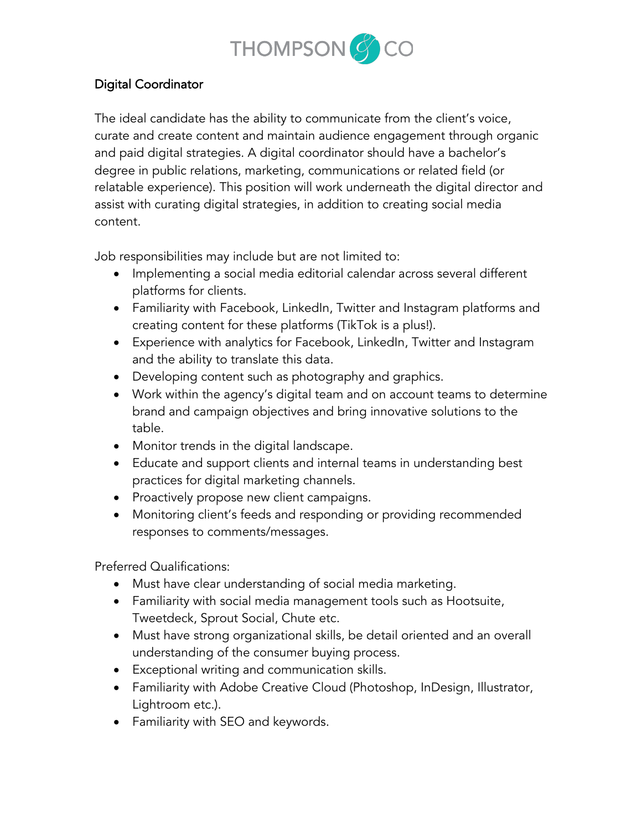

## Digital Coordinator

The ideal candidate has the ability to communicate from the client's voice, curate and create content and maintain audience engagement through organic and paid digital strategies. A digital coordinator should have a bachelor's degree in public relations, marketing, communications or related field (or relatable experience). This position will work underneath the digital director and assist with curating digital strategies, in addition to creating social media content.

Job responsibilities may include but are not limited to:

- Implementing a social media editorial calendar across several different platforms for clients.
- Familiarity with Facebook, LinkedIn, Twitter and Instagram platforms and creating content for these platforms (TikTok is a plus!).
- Experience with analytics for Facebook, LinkedIn, Twitter and Instagram and the ability to translate this data.
- Developing content such as photography and graphics.
- Work within the agency's digital team and on account teams to determine brand and campaign objectives and bring innovative solutions to the table.
- Monitor trends in the digital landscape.
- Educate and support clients and internal teams in understanding best practices for digital marketing channels.
- Proactively propose new client campaigns.
- Monitoring client's feeds and responding or providing recommended responses to comments/messages.

Preferred Qualifications:

- Must have clear understanding of social media marketing.
- Familiarity with social media management tools such as Hootsuite, Tweetdeck, Sprout Social, Chute etc.
- Must have strong organizational skills, be detail oriented and an overall understanding of the consumer buying process.
- Exceptional writing and communication skills.
- Familiarity with Adobe Creative Cloud (Photoshop, InDesign, Illustrator, Lightroom etc.).
- Familiarity with SEO and keywords.